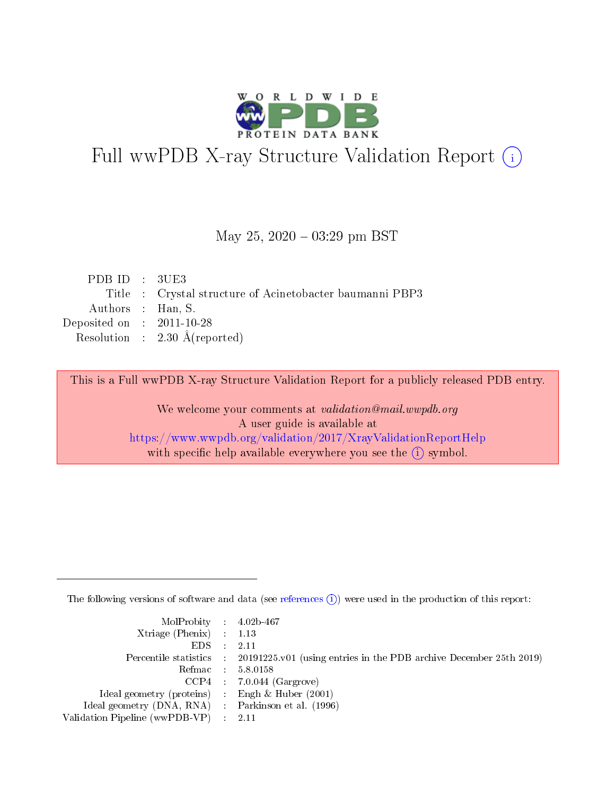

# Full wwPDB X-ray Structure Validation Report (i)

### May 25,  $2020 - 03:29$  pm BST

| PDBID : 3UE3                |                                                          |
|-----------------------------|----------------------------------------------------------|
|                             | Title : Crystal structure of Acinetobacter baumanni PBP3 |
| Authors : Han, S.           |                                                          |
| Deposited on : $2011-10-28$ |                                                          |
|                             | Resolution : $2.30 \text{ Å}$ (reported)                 |

This is a Full wwPDB X-ray Structure Validation Report for a publicly released PDB entry.

We welcome your comments at validation@mail.wwpdb.org A user guide is available at <https://www.wwpdb.org/validation/2017/XrayValidationReportHelp> with specific help available everywhere you see the  $(i)$  symbol.

The following versions of software and data (see [references](https://www.wwpdb.org/validation/2017/XrayValidationReportHelp#references)  $(i)$ ) were used in the production of this report:

| MolProbity : 4.02b-467                              |                                                                                                    |
|-----------------------------------------------------|----------------------------------------------------------------------------------------------------|
| Xtriage (Phenix) $: 1.13$                           |                                                                                                    |
| $EDS = 2.11$                                        |                                                                                                    |
|                                                     | Percentile statistics : $20191225 \times 01$ (using entries in the PDB archive December 25th 2019) |
|                                                     | Refmac : 5.8.0158                                                                                  |
|                                                     | $CCP4$ 7.0.044 (Gargrove)                                                                          |
| Ideal geometry (proteins) : Engh $\&$ Huber (2001)  |                                                                                                    |
| Ideal geometry (DNA, RNA) : Parkinson et al. (1996) |                                                                                                    |
| Validation Pipeline (wwPDB-VP) : 2.11               |                                                                                                    |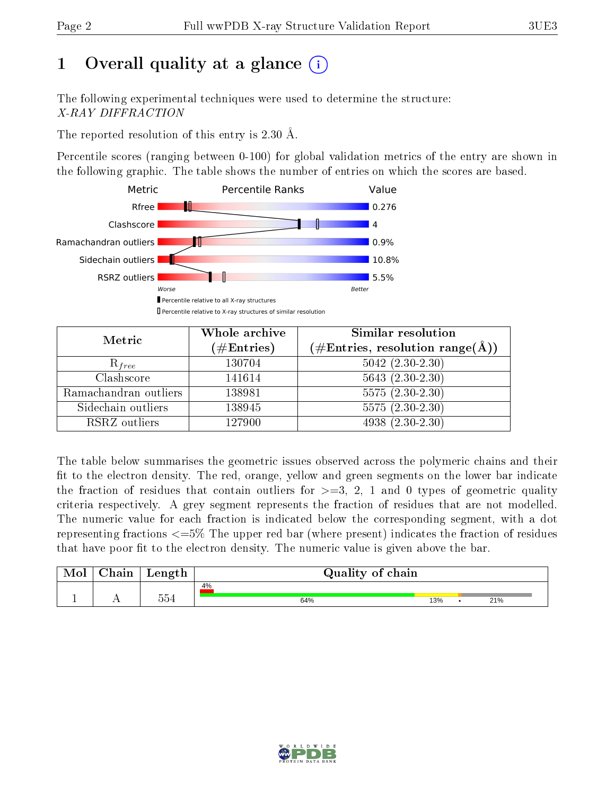# 1 [O](https://www.wwpdb.org/validation/2017/XrayValidationReportHelp#overall_quality)verall quality at a glance  $(i)$

The following experimental techniques were used to determine the structure: X-RAY DIFFRACTION

The reported resolution of this entry is 2.30 Å.

Percentile scores (ranging between 0-100) for global validation metrics of the entry are shown in the following graphic. The table shows the number of entries on which the scores are based.



| Metric                | Whole archive<br>$(\#\text{Entries})$ | Similar resolution<br>$(\#\text{Entries}, \text{resolution range}(\text{\AA}))$ |  |
|-----------------------|---------------------------------------|---------------------------------------------------------------------------------|--|
| $R_{free}$            | 130704                                | $5042$ $(2.30-2.30)$                                                            |  |
| Clashscore            | 141614                                | $5643 (2.30-2.30)$                                                              |  |
| Ramachandran outliers | 138981                                | $5575(2.30-2.30)$                                                               |  |
| Sidechain outliers    | 138945                                | $5575(2.30-2.30)$                                                               |  |
| RSRZ outliers         | 127900                                | $4938(2.30-2.30)$                                                               |  |

The table below summarises the geometric issues observed across the polymeric chains and their fit to the electron density. The red, orange, yellow and green segments on the lower bar indicate the fraction of residues that contain outliers for  $>=3, 2, 1$  and 0 types of geometric quality criteria respectively. A grey segment represents the fraction of residues that are not modelled. The numeric value for each fraction is indicated below the corresponding segment, with a dot representing fractions  $\epsilon=5\%$  The upper red bar (where present) indicates the fraction of residues that have poor fit to the electron density. The numeric value is given above the bar.

| Mol       | $\alpha$ hain               | Length       | Quality of chain |     |  |     |  |
|-----------|-----------------------------|--------------|------------------|-----|--|-----|--|
| <u>д.</u> | $\rightarrow$ $\rightarrow$ | $  -$<br>554 | 4%<br>64%        | 13% |  | 21% |  |

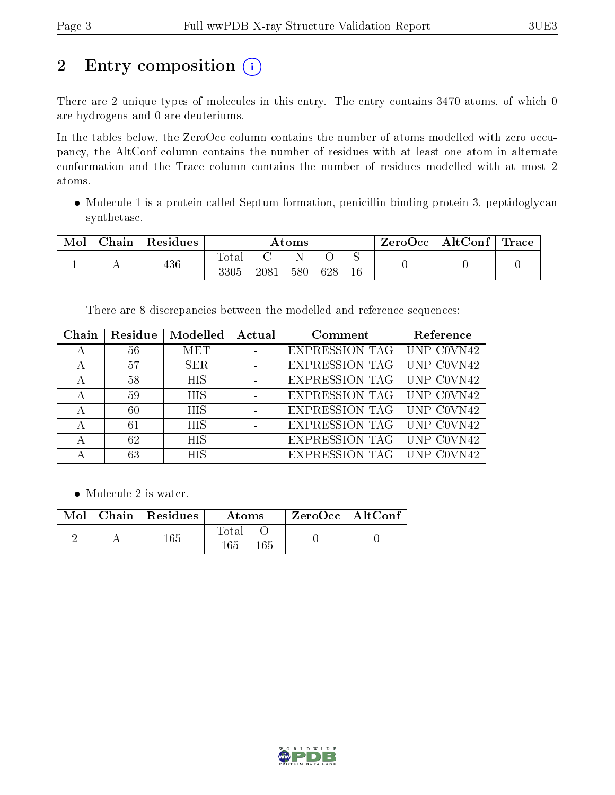# 2 Entry composition (i)

There are 2 unique types of molecules in this entry. The entry contains 3470 atoms, of which 0 are hydrogens and 0 are deuteriums.

In the tables below, the ZeroOcc column contains the number of atoms modelled with zero occupancy, the AltConf column contains the number of residues with at least one atom in alternate conformation and the Trace column contains the number of residues modelled with at most 2 atoms.

 Molecule 1 is a protein called Septum formation, penicillin binding protein 3, peptidoglycan synthetase.

| Mol | Chain | Residues | Atoms         |      |     |     | ZeroOcc | AltConf | $^{\circ}$ Trace |  |
|-----|-------|----------|---------------|------|-----|-----|---------|---------|------------------|--|
|     |       | 436      | Total<br>3305 | 2081 | 580 | 628 | 16      |         |                  |  |

There are 8 discrepancies between the modelled and reference sequences:

| Chain | Residue | Modelled   | Actual | Comment               | Reference  |
|-------|---------|------------|--------|-----------------------|------------|
|       | 56      | <b>MET</b> |        | <b>EXPRESSION TAG</b> | UNP COVN42 |
| А     | 57      | <b>SER</b> |        | <b>EXPRESSION TAG</b> | UNP COVN42 |
| А     | 58      | <b>HIS</b> |        | EXPRESSION TAG        | UNP COVN42 |
| А     | 59      | <b>HIS</b> |        | EXPRESSION TAG        | UNP C0VN42 |
| А     | 60      | <b>HIS</b> |        | EXPRESSION TAG        | UNP COVN42 |
| А     | 61      | <b>HIS</b> |        | EXPRESSION TAG        | UNP COVN42 |
| А     | 62      | <b>HIS</b> |        | <b>EXPRESSION TAG</b> | UNP COVN42 |
|       | 63      | <b>HIS</b> |        | EXPRESSION TAG        | ∣UNP       |

• Molecule 2 is water.

|  | $\mid$ Mol $\mid$ Chain $\mid$ Residues $\mid$ | $\bold{Atoms}$      | ZeroOcc   AltConf |  |
|--|------------------------------------------------|---------------------|-------------------|--|
|  | $165\,$                                        | Total<br>165<br>165 |                   |  |

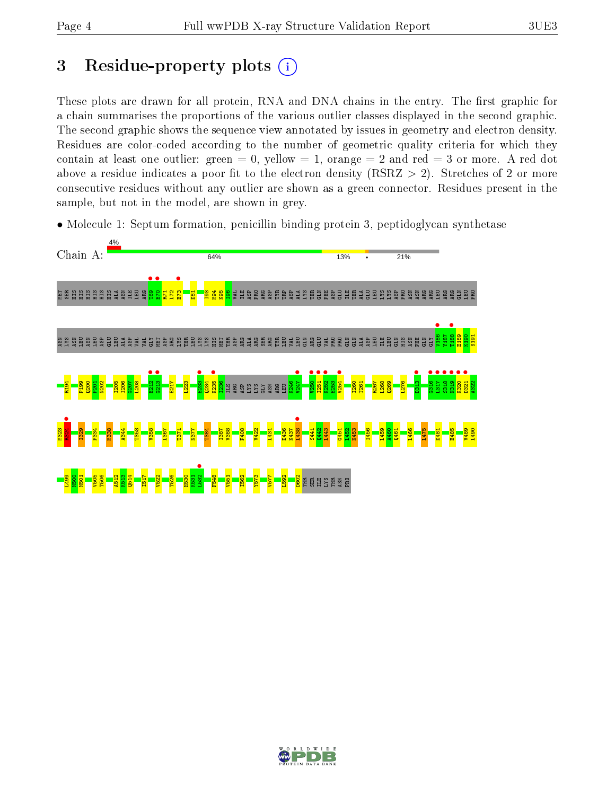# 3 Residue-property plots  $(i)$

These plots are drawn for all protein, RNA and DNA chains in the entry. The first graphic for a chain summarises the proportions of the various outlier classes displayed in the second graphic. The second graphic shows the sequence view annotated by issues in geometry and electron density. Residues are color-coded according to the number of geometric quality criteria for which they contain at least one outlier: green  $= 0$ , yellow  $= 1$ , orange  $= 2$  and red  $= 3$  or more. A red dot above a residue indicates a poor fit to the electron density (RSRZ  $> 2$ ). Stretches of 2 or more consecutive residues without any outlier are shown as a green connector. Residues present in the sample, but not in the model, are shown in grey.

• Molecule 1: Septum formation, penicillin binding protein 3, peptidoglycan synthetase



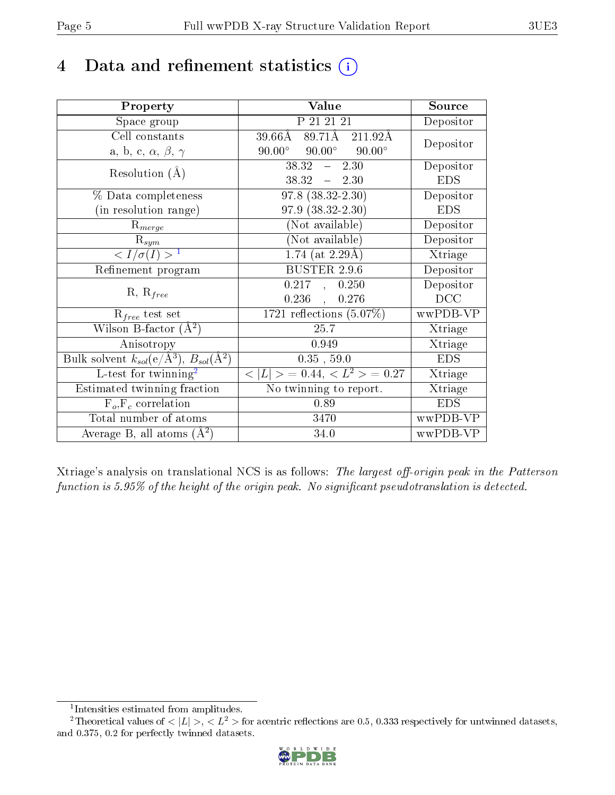# 4 Data and refinement statistics  $(i)$

| Property                                                             | Value                                             | Source     |
|----------------------------------------------------------------------|---------------------------------------------------|------------|
| Space group                                                          | P 21 21 21                                        | Depositor  |
| Cell constants                                                       | $89.71$ Å $211.92$ Å<br>39.66Å                    | Depositor  |
| a, b, c, $\alpha$ , $\beta$ , $\gamma$                               | $90.00^\circ$<br>$90.00^{\circ}$<br>$90.00^\circ$ |            |
| Resolution $(A)$                                                     | 38.32<br>$-2.30$                                  | Depositor  |
|                                                                      | $38.32 - 2.30$                                    | <b>EDS</b> |
| $\%$ Data completeness                                               | $97.8$ $(38.32 - 2.30)$                           | Depositor  |
| (in resolution range)                                                | 97.9 (38.32-2.30)                                 | <b>EDS</b> |
| $R_{merge}$                                                          | $(\mathrm{Not\ available})$                       | Depositor  |
| $\mathrm{R}_{sym}$                                                   | $(No\bar{t}$ available)                           | Depositor  |
| $\langle I/\sigma(I) \rangle^{-1}$                                   | $1.74$ (at 2.29Å)                                 | Xtriage    |
| Refinement program                                                   | <b>BUSTER 2.9.6</b>                               | Depositor  |
|                                                                      | 0.217, 0.250                                      | Depositor  |
| $R, R_{free}$                                                        | $0.236$ ,<br>0.276                                | DCC        |
| $R_{free}$ test set                                                  | 1721 reflections $(5.07\%)$                       | wwPDB-VP   |
| Wilson B-factor $(A^2)$                                              | 25.7                                              | Xtriage    |
| Anisotropy                                                           | 0.949                                             | Xtriage    |
| Bulk solvent $k_{sol}(e/\mathring{A}^3)$ , $B_{sol}(\mathring{A}^2)$ | $0.35$ , 59.0                                     | <b>EDS</b> |
| L-test for $\overline{\text{twinning}}^2$                            | $< L >$ = 0.44, $< L2 >$ = 0.27                   | Xtriage    |
| Estimated twinning fraction                                          | No twinning to report.                            | Xtriage    |
| $\overline{F_o}, \overline{F_c}$ correlation                         | 0.89                                              | <b>EDS</b> |
| Total number of atoms                                                | 3470                                              | wwPDB-VP   |
| Average B, all atoms $(A^2)$                                         | 34.0                                              | wwPDB-VP   |

Xtriage's analysis on translational NCS is as follows: The largest off-origin peak in the Patterson function is  $5.95\%$  of the height of the origin peak. No significant pseudotranslation is detected.

<sup>&</sup>lt;sup>2</sup>Theoretical values of  $\langle |L| \rangle$ ,  $\langle L^2 \rangle$  for acentric reflections are 0.5, 0.333 respectively for untwinned datasets, and 0.375, 0.2 for perfectly twinned datasets.



<span id="page-4-1"></span><span id="page-4-0"></span><sup>1</sup> Intensities estimated from amplitudes.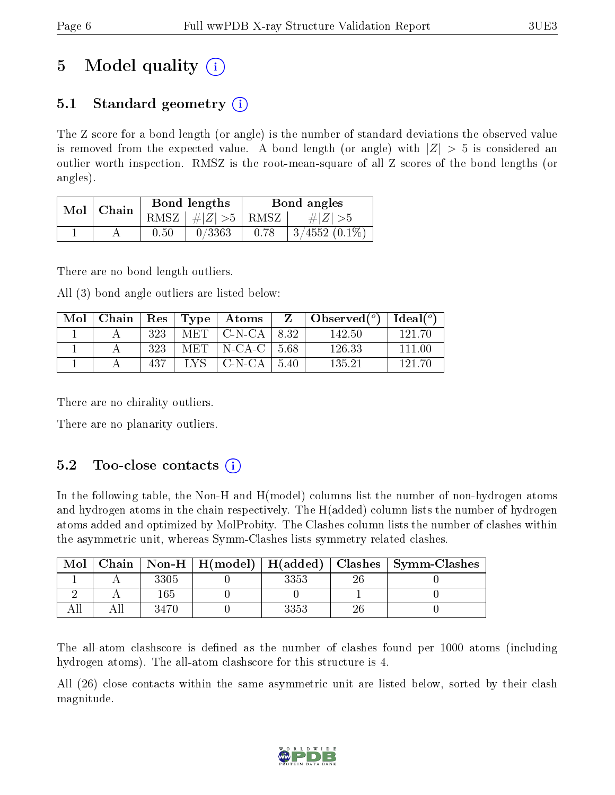# 5 Model quality  $(i)$

## 5.1 Standard geometry  $(i)$

The Z score for a bond length (or angle) is the number of standard deviations the observed value is removed from the expected value. A bond length (or angle) with  $|Z| > 5$  is considered an outlier worth inspection. RMSZ is the root-mean-square of all Z scores of the bond lengths (or angles).

| Chain<br>Mol |  |      | Bond lengths                   | Bond angles |                 |  |
|--------------|--|------|--------------------------------|-------------|-----------------|--|
|              |  |      | RMSZ $\mid \#Z \mid >5$   RMSZ |             | $\# Z  > 5$     |  |
|              |  | 0.50 | 0/3363                         | 0.78        | $3/4552(0.1\%)$ |  |

There are no bond length outliers.

All (3) bond angle outliers are listed below:

| Mol | Chain |      |      | Res   Type   Atoms          |       | Observed $(^\circ)$ | Ideal $({}^o)$ |
|-----|-------|------|------|-----------------------------|-------|---------------------|----------------|
|     |       | 323  | MET  | $\vert$ C-N-CA $\vert$ 8.32 |       | 142.50              | 121.70         |
|     |       | 323  | MET  | $\vert$ N-CA-C $\vert$ 5.68 |       | 126.33              | 111.00         |
|     |       | -437 | TVS. | $\perp$ C-N-CA $\perp$      | -5.40 | 135.21              | 191 71         |

There are no chirality outliers.

There are no planarity outliers.

## 5.2 Too-close contacts  $(i)$

In the following table, the Non-H and H(model) columns list the number of non-hydrogen atoms and hydrogen atoms in the chain respectively. The H(added) column lists the number of hydrogen atoms added and optimized by MolProbity. The Clashes column lists the number of clashes within the asymmetric unit, whereas Symm-Clashes lists symmetry related clashes.

| Mol |      |      | Chain   Non-H   H(model)   H(added)   Clashes   Symm-Clashes |
|-----|------|------|--------------------------------------------------------------|
|     | 3305 | 3353 |                                                              |
|     | 165  |      |                                                              |
|     | 3470 | 3353 |                                                              |

The all-atom clashscore is defined as the number of clashes found per 1000 atoms (including hydrogen atoms). The all-atom clashscore for this structure is 4.

All (26) close contacts within the same asymmetric unit are listed below, sorted by their clash magnitude.

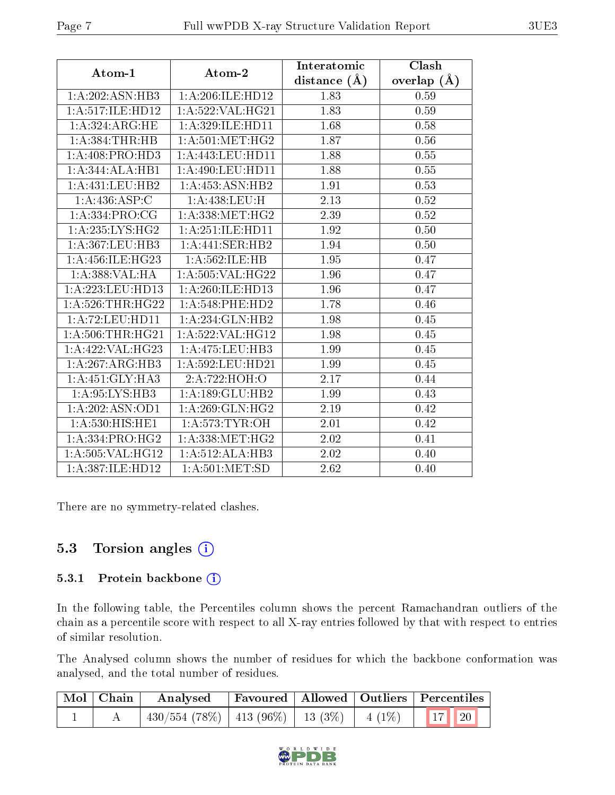| Atom-1                        | Atom-2                           | Interatomic      | Clash         |
|-------------------------------|----------------------------------|------------------|---------------|
|                               |                                  | distance $(\AA)$ | overlap $(A)$ |
| 1:A:202:ASN:HB3               | 1:A:206:ILE:HD12                 | 1.83             | 0.59          |
| 1:A:517:ILE:HD12              | 1: A:522: VAL:HG21               | 1.83             | 0.59          |
| 1:A:324:ARG:HE                | 1: A:329: ILE: HD11              | 1.68             | 0.58          |
| 1:A:384:THR:HB                | 1: A:501: MET:HG2                | 1.87             | 0.56          |
| 1:A:408:PRO:HD3               | 1: A: 443: LEU: HD11             | 1.88             | $0.55\,$      |
| 1:A:344:ALA:HB1               | $1: A:490: LEU: \overline{HD11}$ | 1.88             | 0.55          |
| 1:A:431:LEU:HB2               | 1:A:453:ASN:HB2                  | 1.91             | 0.53          |
| 1:A:436:ASP:C                 | 1:A:438:LEU:H                    | 2.13             | 0.52          |
| 1: A:334: PRO:CG              | 1: A: 338: MET:HG2               | 2.39             | 0.52          |
| 1: A:235: LYS: HG2            | 1:A:251:ILE:HD11                 | 1.92             | 0.50          |
| 1: A: 367: LEU: HB3           | 1:A:441:SER:HB2                  | 1.94             | 0.50          |
| 1: A: 456: ILE: HG23          | 1:A:562:ILE:HB                   | 1.95             | 0.47          |
| 1:A:388:VAL:HA                | 1: A:505: VAL:HG22               | 1.96             | 0.47          |
| 1:A:223:LEU:HD13              | 1:A:260:ILE:HD13                 | 1.96             | 0.47          |
| 1: A:526:THR:HG22             | $1: A:548:$ PHE:HD2              | 1.78             | 0.46          |
| 1: A:72:LEU:HD11              | 1:A:234:GLN:HB2                  | 1.98             | 0.45          |
| 1: A:506:THR:HG21             | 1: A:522: VAL:HGI2               | 1.98             | 0.45          |
| 1:A:422:VAL:HG23              | 1:A:475:LEU:HB3                  | 1.99             | 0.45          |
| 1: A:267: ARG:HB3             | 1:A:592:LEU:HD21                 | 1.99             | 0.45          |
| 1:A:451:GLY:HA3               | 2:A:722:HOH:O                    | 2.17             | 0.44          |
| 1: A:95: LYS: HB3             | 1: A: 189: GLU: HB2              | 1.99             | 0.43          |
| 1:A:202:ASN:OD1               | 1:A:269:GLN:HG2                  | 2.19             | 0.42          |
| $1: A:530:HIS:\overline{HE1}$ | 1: A:573: TYR:OH                 | 2.01             | 0.42          |
| 1: A: 334: PRO: HG2           | $1:A:338:MET:\overline{HG2}$     | 2.02             | 0.41          |
| 1: A: 505: VAL:HG12           | 1:A:512:ALA:HB3                  | 2.02             | 0.40          |
| 1:A:387:ILE:HD12              | 1: A:501: MET:SD                 | 2.62             | 0.40          |

There are no symmetry-related clashes.

## 5.3 Torsion angles  $(i)$

### 5.3.1 Protein backbone (i)

In the following table, the Percentiles column shows the percent Ramachandran outliers of the chain as a percentile score with respect to all X-ray entries followed by that with respect to entries of similar resolution.

The Analysed column shows the number of residues for which the backbone conformation was analysed, and the total number of residues.

| Mol   Chain | Analysed                                                    |  | Favoured   Allowed   Outliers   Percentiles |
|-------------|-------------------------------------------------------------|--|---------------------------------------------|
|             | $\mid$ 430/554 (78%)   413 (96%)   13 (3%)   4 (1%)   17 20 |  |                                             |

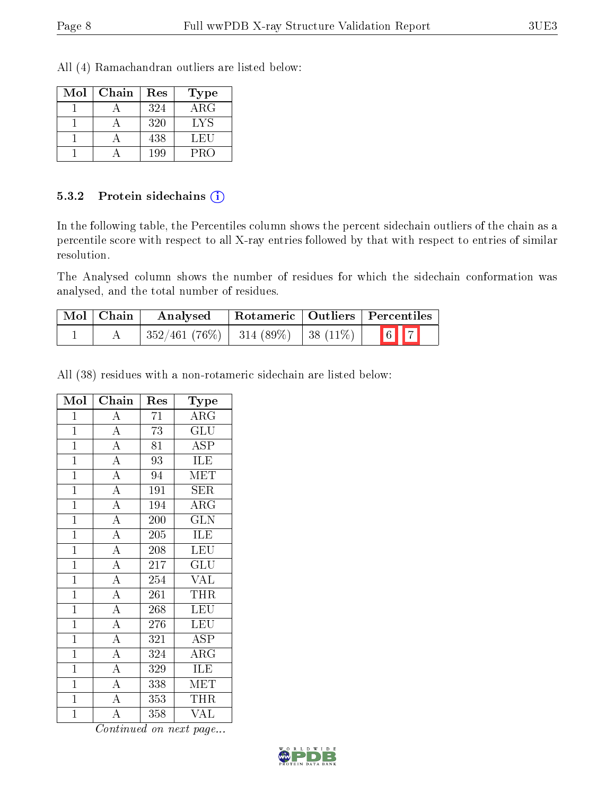All (4) Ramachandran outliers are listed below:

| Mol | Chain | Res | Type       |
|-----|-------|-----|------------|
|     |       | 324 | $\rm{ARG}$ |
|     |       | 320 | LYS        |
|     |       | 438 | LEU        |
|     |       | 199 | PRO        |

#### 5.3.2 Protein sidechains (i)

In the following table, the Percentiles column shows the percent sidechain outliers of the chain as a percentile score with respect to all X-ray entries followed by that with respect to entries of similar resolution.

The Analysed column shows the number of residues for which the sidechain conformation was analysed, and the total number of residues.

| $\mid$ Mol $\mid$ Chain | Analysed                                 |  | Rotameric   Outliers   Percentiles                         |
|-------------------------|------------------------------------------|--|------------------------------------------------------------|
|                         | $352/461(76\%)$   314 (89\%)   38 (11\%) |  | $\begin{array}{ c c c }\hline 6 & 7 \\ \hline \end{array}$ |

All (38) residues with a non-rotameric sidechain are listed below:

| Mol            | $\overline{\text{Chain}}$           | Res              | Type                    |
|----------------|-------------------------------------|------------------|-------------------------|
| $\mathbf{1}$   | $\overline{\rm A}$                  | 71               | $\overline{\rm{ARG}}$   |
| $\mathbf{1}$   | $\overline{A}$                      | 73               | <b>GLU</b>              |
| $\overline{1}$ | $\overline{A}$                      | $\overline{81}$  | $\overline{\text{ASP}}$ |
| $\mathbf{1}$   | $\overline{A}$                      | 93               | ILE                     |
| $\overline{1}$ | $\overline{A}$                      | 94               | MET                     |
| $\overline{1}$ | $\overline{A}$                      | 191              | $\overline{\text{SER}}$ |
| $\mathbf{1}$   | $\overline{A}$                      | 194              | ARG                     |
| $\overline{1}$ | $\frac{1}{A}$                       | 200              | $\overline{\text{GLN}}$ |
| $\overline{1}$ | $\overline{A}$                      | 205              | ILE                     |
| $\mathbf{1}$   | $\frac{\overline{A}}{\overline{A}}$ | $\overline{208}$ | LEU                     |
| $\overline{1}$ |                                     | 217              | $\overline{{\rm GLU}}$  |
| $\mathbf{1}$   | $\overline{A}$                      | 254              | <b>VAL</b>              |
| $\overline{1}$ | $\frac{1}{\mathbf{A}}$              | $\overline{261}$ | <b>THR</b>              |
| $\overline{1}$ | $\overline{A}$                      | 268              | <b>LEU</b>              |
| $\mathbf{1}$   | $\overline{A}$                      | 276              | LEU                     |
| $\overline{1}$ | $\overline{A}$                      | 321              | $\overline{\text{ASP}}$ |
| $\overline{1}$ | $\overline{A}$                      | 324              | $\overline{\rm{ARG}}$   |
| $\overline{1}$ | $\overline{A}$                      | 329              | <b>ILE</b>              |
| $\mathbf{1}$   | $\overline{A}$                      | 338              | MET                     |
| $\mathbf{1}$   | $\overline{A}$                      | $\overline{3}53$ | THR                     |
| $\mathbf{1}$   | $\overline{\overline{A}}$           | 358              | <b>VAL</b>              |

Continued on next page...

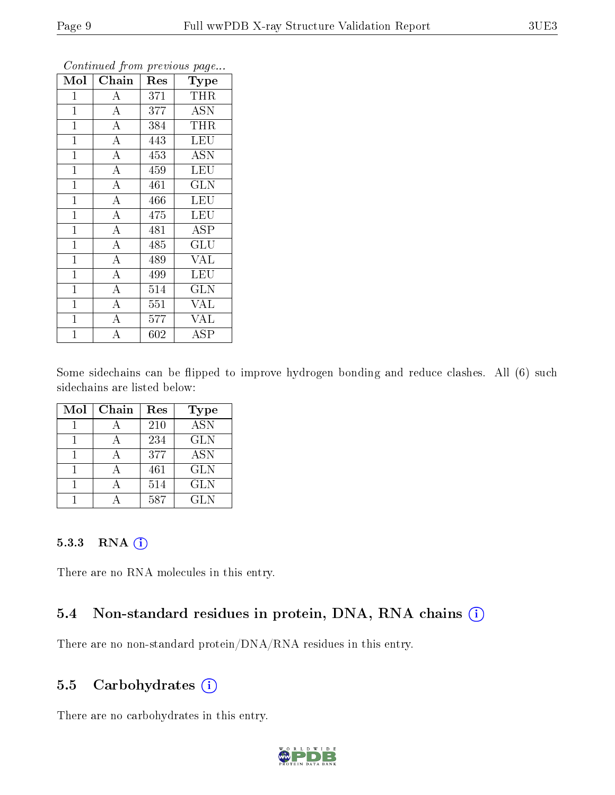|                |                    |     | ້                       |
|----------------|--------------------|-----|-------------------------|
| Mol            | Chain              | Res | Type                    |
| $\mathbf 1$    | $\boldsymbol{A}$   | 371 | <b>THR</b>              |
| $\mathbf{1}$   | $\overline{A}$     | 377 | <b>ASN</b>              |
| $\overline{1}$ | $\overline{A}$     | 384 | THR                     |
| $\mathbf{1}$   | $\overline{A}$     | 443 | LEU                     |
| $\mathbf{1}$   | $\overline{A}$     | 453 | <b>ASN</b>              |
| $\mathbf{1}$   | $\overline{\rm A}$ | 459 | LEU                     |
| $\mathbf{1}$   | $\overline{\rm A}$ | 461 | <b>GLN</b>              |
| $\mathbf{1}$   | $\overline{A}$     | 466 | <b>LEU</b>              |
| $\mathbf{1}$   | $\overline{\rm A}$ | 475 | <b>LEU</b>              |
| $\overline{1}$ | $\overline{A}$     | 481 | $\overline{\text{ASP}}$ |
| $\mathbf{1}$   | $\overline{\rm A}$ | 485 | <b>GLU</b>              |
| $\overline{1}$ | $\overline{\rm A}$ | 489 | $\overline{\text{VAL}}$ |
| $\mathbf{1}$   | $\overline{A}$     | 499 | <b>LEU</b>              |
| $\mathbf{1}$   | $\overline{\rm A}$ | 514 | <b>GLN</b>              |
| $\mathbf{1}$   | $\overline{A}$     | 551 | VAL                     |
| $\mathbf 1$    | $\boldsymbol{A}$   | 577 | VAL                     |
| $\mathbf 1$    | A                  | 602 | $\operatorname{ASP}$    |

Continued from previous page...

Some sidechains can be flipped to improve hydrogen bonding and reduce clashes. All (6) such sidechains are listed below:

| Mol | Chain | Res | Type             |
|-----|-------|-----|------------------|
|     |       | 210 | $\overline{ASN}$ |
|     |       | 234 | <b>GLN</b>       |
|     |       | 377 | <b>ASN</b>       |
|     |       | 461 | <b>GLN</b>       |
|     |       | 514 | <b>GLN</b>       |
|     |       | 587 | GL N             |

### 5.3.3 RNA (i)

There are no RNA molecules in this entry.

### 5.4 Non-standard residues in protein, DNA, RNA chains  $(i)$

There are no non-standard protein/DNA/RNA residues in this entry.

### 5.5 Carbohydrates  $(i)$

There are no carbohydrates in this entry.

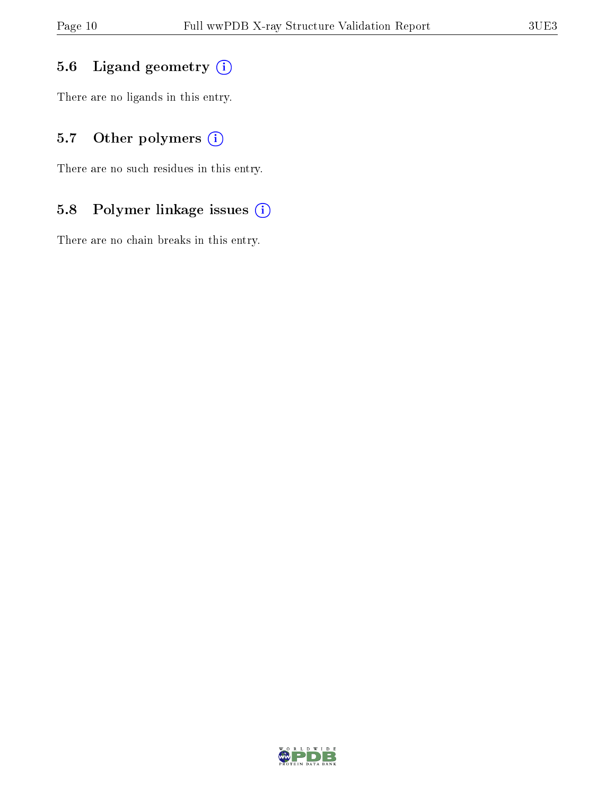## 5.6 Ligand geometry (i)

There are no ligands in this entry.

## 5.7 [O](https://www.wwpdb.org/validation/2017/XrayValidationReportHelp#nonstandard_residues_and_ligands)ther polymers (i)

There are no such residues in this entry.

## 5.8 Polymer linkage issues (i)

There are no chain breaks in this entry.

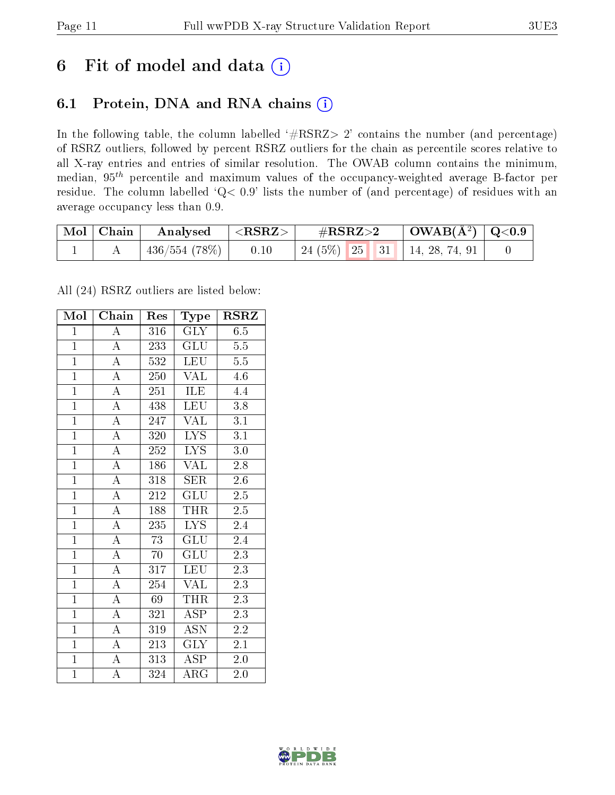## 6 Fit of model and data  $(i)$

## 6.1 Protein, DNA and RNA chains  $(i)$

In the following table, the column labelled  $#RSRZ> 2'$  contains the number (and percentage) of RSRZ outliers, followed by percent RSRZ outliers for the chain as percentile scores relative to all X-ray entries and entries of similar resolution. The OWAB column contains the minimum, median,  $95<sup>th</sup>$  percentile and maximum values of the occupancy-weighted average B-factor per residue. The column labelled ' $Q< 0.9$ ' lists the number of (and percentage) of residues with an average occupancy less than 0.9.

| Mol   Chain | $\mid$ Analysed $\mid$ <rsrz> <math>\mid</math></rsrz> |      | $\rm \#RSRZ{>}2$                   | $\mid$ OWAB(Å <sup>2</sup> ) $\mid$ Q<0.9 |  |
|-------------|--------------------------------------------------------|------|------------------------------------|-------------------------------------------|--|
|             | $436/554(78%)$                                         | 0.10 | 24 (5%)   25   31   14, 28, 74, 91 |                                           |  |

All (24) RSRZ outliers are listed below:

| Mol            | Chain              | Res | Type                      | <b>RSRZ</b>      |
|----------------|--------------------|-----|---------------------------|------------------|
| $\mathbf{1}$   | $\boldsymbol{A}$   | 316 | GLY                       | 6.5              |
| $\mathbf{1}$   | $\overline{A}$     | 233 | <b>GLU</b>                | $5.5\,$          |
| $\mathbf{1}$   | $\overline{A}$     | 532 | <b>LEU</b>                | 5.5              |
| $\overline{1}$ | $\overline{A}$     | 250 | <b>VAL</b>                | 4.6              |
| $\overline{1}$ | $\overline{A}$     | 251 | $\overline{\text{ILE}}$   | $\overline{4.4}$ |
| $\overline{1}$ | $\overline{A}$     | 438 | <b>LEU</b>                | 3.8              |
| $\overline{1}$ | $\overline{A}$     | 247 | VAL                       | 3.1              |
| $\overline{1}$ | $\overline{A}$     | 320 | <b>LYS</b>                | 3.1              |
| $\overline{1}$ | $\overline{\rm A}$ | 252 | <b>LYS</b>                | 3.0              |
| $\overline{1}$ | $\overline{A}$     | 186 | $\overline{\text{VAL}}$   | 2.8              |
| $\mathbf{1}$   | $\overline{\rm A}$ | 318 | <b>SER</b>                | 2.6              |
| $\overline{1}$ | $\overline{A}$     | 212 | $\overline{\mathrm{GLU}}$ | $2.\overline{5}$ |
| $\overline{1}$ | $\overline{A}$     | 188 | <b>THR</b>                | 2.5              |
| $\overline{1}$ | $\overline{A}$     | 235 | <b>LYS</b>                | 2.4              |
| $\overline{1}$ | $\overline{\rm A}$ | 73  | $\overline{\text{GLU}}$   | 2.4              |
| $\overline{1}$ | $\overline{A}$     | 70  | $\overline{{\rm GLU}}$    | 2.3              |
| $\overline{1}$ | $\overline{\rm A}$ | 317 | <b>LEU</b>                | 2.3              |
| $\overline{1}$ | $\overline{A}$     | 254 | <b>VAL</b>                | 2.3              |
| $\overline{1}$ | $\overline{\rm A}$ | 69  | <b>THR</b>                | 2.3              |
| $\overline{1}$ | $\overline{A}$     | 321 | $\overline{\text{ASP}}$   | 2.3              |
| $\overline{1}$ | $\overline{A}$     | 319 | $\overline{\text{ASN}}$   | 2.2              |
| $\overline{1}$ | $\overline{A}$     | 213 | $\overline{\text{GLY}}$   | $\overline{2}.1$ |
| $\overline{1}$ | $\overline{\rm A}$ | 313 | <b>ASP</b>                | 2.0              |
| $\overline{1}$ | $\overline{\rm A}$ | 324 | $\overline{\rm{ARG}}$     | 2.0              |